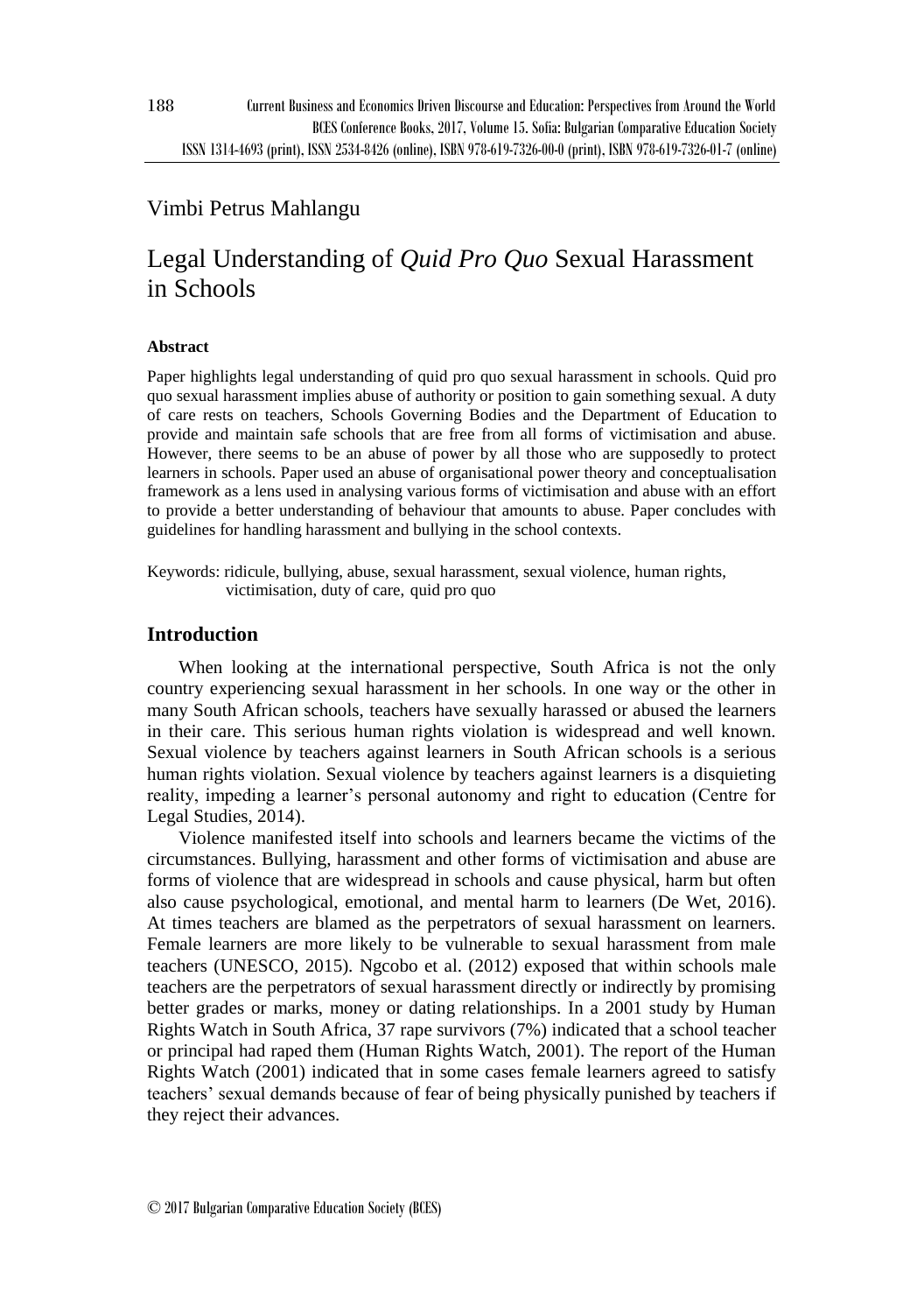# Vimbi Petrus Mahlangu

# Legal Understanding of *Quid Pro Quo* Sexual Harassment in Schools

## **Abstract**

Paper highlights legal understanding of quid pro quo sexual harassment in schools. Quid pro quo sexual harassment implies abuse of authority or position to gain something sexual. A duty of care rests on teachers, Schools Governing Bodies and the Department of Education to provide and maintain safe schools that are free from all forms of victimisation and abuse. However, there seems to be an abuse of power by all those who are supposedly to protect learners in schools. Paper used an abuse of organisational power theory and conceptualisation framework as a lens used in analysing various forms of victimisation and abuse with an effort to provide a better understanding of behaviour that amounts to abuse. Paper concludes with guidelines for handling harassment and bullying in the school contexts.

Keywords: ridicule, bullying, abuse, sexual harassment, sexual violence, human rights, victimisation, duty of care, quid pro quo

# **Introduction**

When looking at the international perspective, South Africa is not the only country experiencing sexual harassment in her schools. In one way or the other in many South African schools, teachers have sexually harassed or abused the learners in their care. This serious human rights violation is widespread and well known. Sexual violence by teachers against learners in South African schools is a serious human rights violation. Sexual violence by teachers against learners is a disquieting reality, impeding a learner's personal autonomy and right to education (Centre for Legal Studies, 2014).

Violence manifested itself into schools and learners became the victims of the circumstances. Bullying, harassment and other forms of victimisation and abuse are forms of violence that are widespread in schools and cause physical, harm but often also cause psychological, emotional, and mental harm to learners (De Wet, 2016). At times teachers are blamed as the perpetrators of sexual harassment on learners. Female learners are more likely to be vulnerable to sexual harassment from male teachers (UNESCO, 2015). Ngcobo et al. (2012) exposed that within schools male teachers are the perpetrators of sexual harassment directly or indirectly by promising better grades or marks, money or dating relationships. In a 2001 study by Human Rights Watch in South Africa, 37 rape survivors (7%) indicated that a school teacher or principal had raped them (Human Rights Watch, 2001). The report of the Human Rights Watch (2001) indicated that in some cases female learners agreed to satisfy teachers' sexual demands because of fear of being physically punished by teachers if they reject their advances.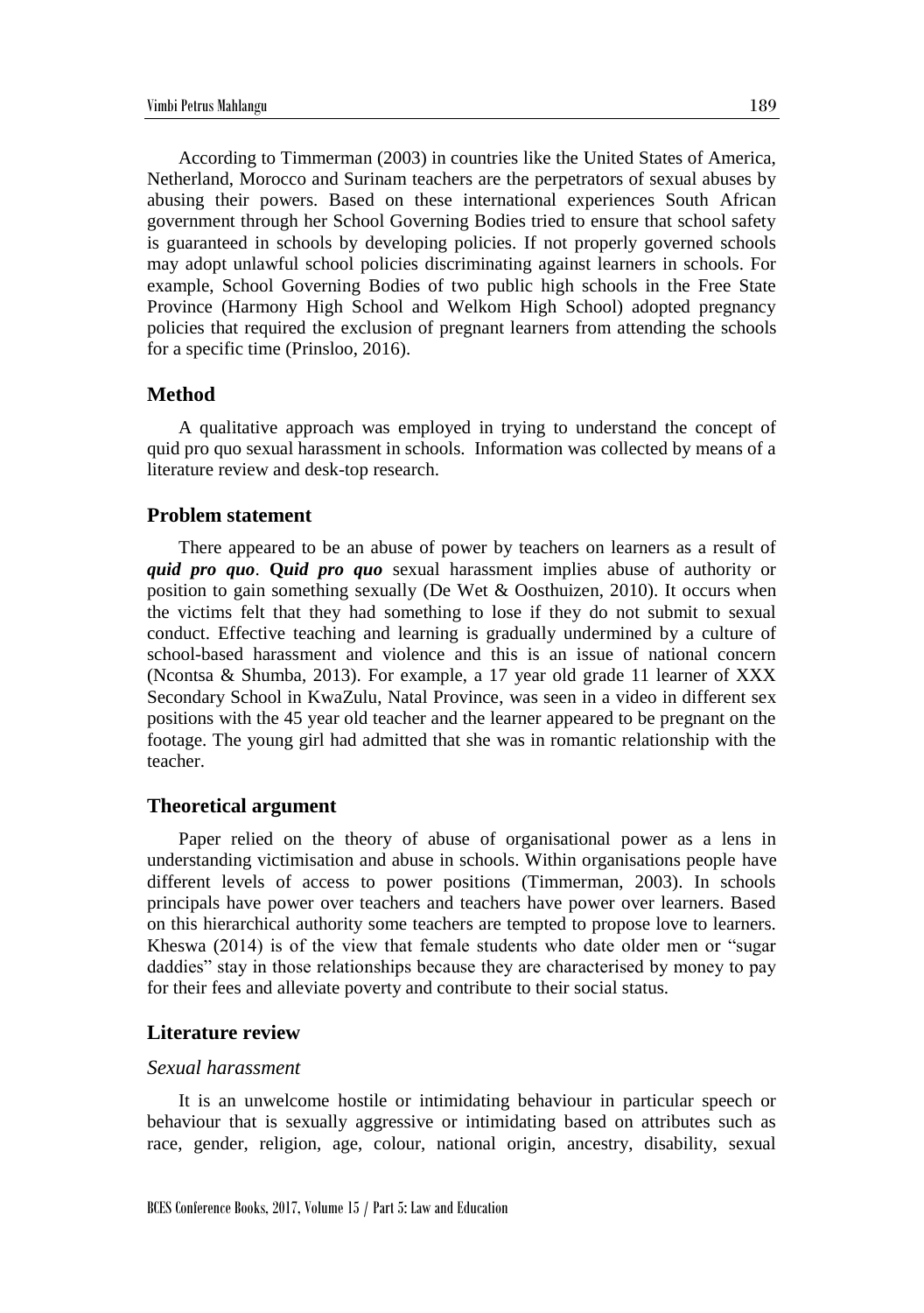According to Timmerman (2003) in countries like the United States of America, Netherland, Morocco and Surinam teachers are the perpetrators of sexual abuses by abusing their powers. Based on these international experiences South African government through her School Governing Bodies tried to ensure that school safety is guaranteed in schools by developing policies. If not properly governed schools may adopt unlawful school policies discriminating against learners in schools. For example, School Governing Bodies of two public high schools in the Free State Province (Harmony High School and Welkom High School) adopted pregnancy policies that required the exclusion of pregnant learners from attending the schools for a specific time (Prinsloo, 2016).

#### **Method**

A qualitative approach was employed in trying to understand the concept of quid pro quo sexual harassment in schools. Information was collected by means of a literature review and desk-top research.

#### **Problem statement**

There appeared to be an abuse of power by teachers on learners as a result of *quid pro quo*. **Q***uid pro quo* sexual harassment implies abuse of authority or position to gain something sexually (De Wet & Oosthuizen, 2010). It occurs when the victims felt that they had something to lose if they do not submit to sexual conduct. Effective teaching and learning is gradually undermined by a culture of school-based harassment and violence and this is an issue of national concern (Ncontsa & Shumba, 2013). For example, a 17 year old grade 11 learner of XXX Secondary School in KwaZulu, Natal Province, was seen in a video in different sex positions with the 45 year old teacher and the learner appeared to be pregnant on the footage. The young girl had admitted that she was in romantic relationship with the teacher.

#### **Theoretical argument**

Paper relied on the theory of abuse of organisational power as a lens in understanding victimisation and abuse in schools. Within organisations people have different levels of access to power positions (Timmerman, 2003). In schools principals have power over teachers and teachers have power over learners. Based on this hierarchical authority some teachers are tempted to propose love to learners. Kheswa (2014) is of the view that female students who date older men or "sugar daddies" stay in those relationships because they are characterised by money to pay for their fees and alleviate poverty and contribute to their social status.

#### **Literature review**

#### *Sexual harassment*

It is an unwelcome hostile or intimidating behaviour in particular speech or behaviour that is sexually aggressive or intimidating based on attributes such as race, gender, religion, age, colour, national origin, ancestry, disability, sexual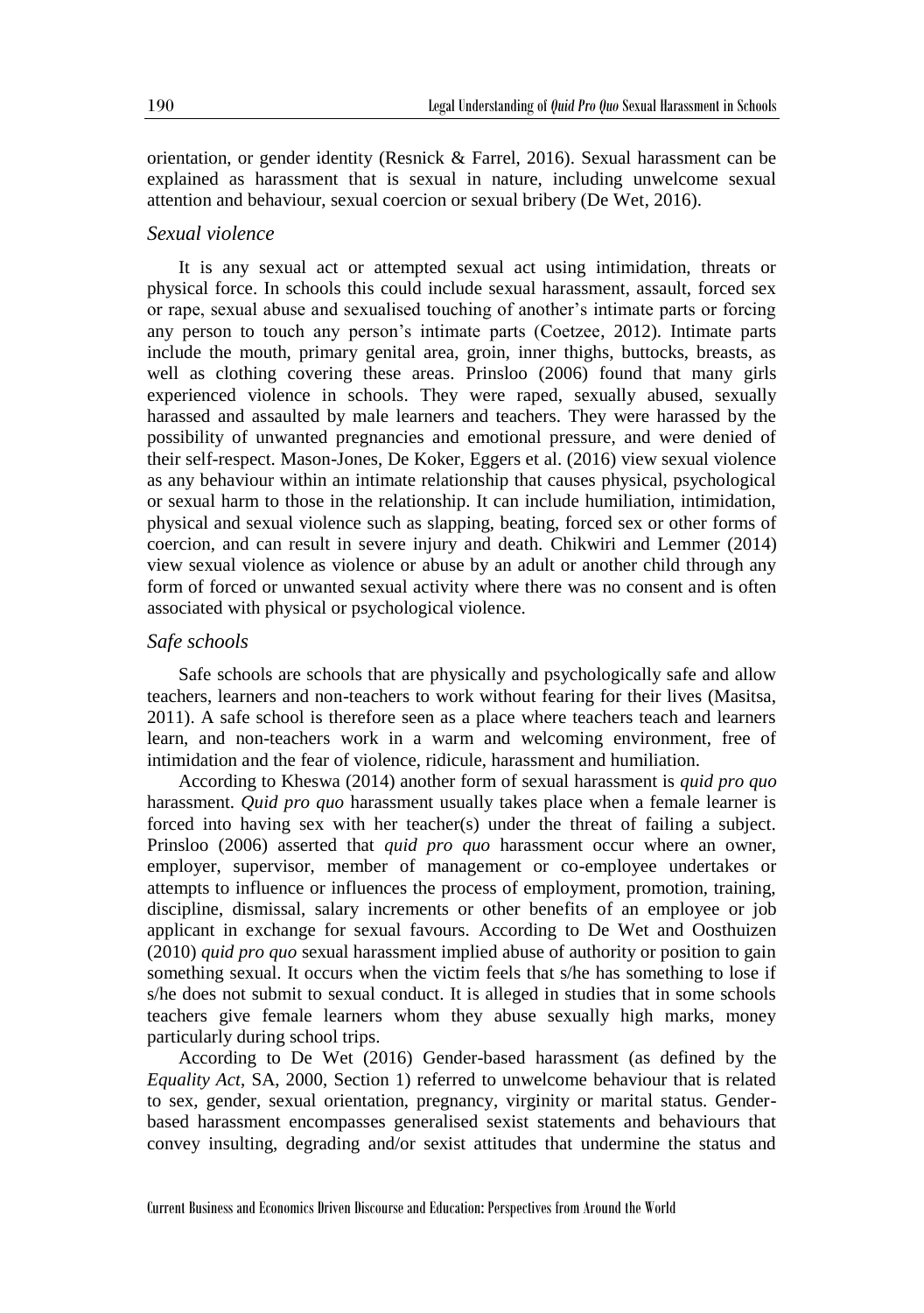orientation, or gender identity (Resnick & Farrel, 2016). Sexual harassment can be explained as harassment that is sexual in nature, including unwelcome sexual attention and behaviour, sexual coercion or sexual bribery (De Wet, 2016).

#### *Sexual violence*

It is any sexual act or attempted sexual act using intimidation, threats or physical force. In schools this could include sexual harassment, assault, forced sex or rape, sexual abuse and sexualised touching of another's intimate parts or forcing any person to touch any person's intimate parts (Coetzee, 2012). Intimate parts include the mouth, primary genital area, groin, inner thighs, buttocks, breasts, as well as clothing covering these areas. Prinsloo (2006) found that many girls experienced violence in schools. They were raped, sexually abused, sexually harassed and assaulted by male learners and teachers. They were harassed by the possibility of unwanted pregnancies and emotional pressure, and were denied of their self-respect. Mason-Jones, De Koker, Eggers et al. (2016) view sexual violence as any behaviour within an intimate relationship that causes physical, psychological or sexual harm to those in the relationship. It can include humiliation, intimidation, physical and sexual violence such as slapping, beating, forced sex or other forms of coercion, and can result in severe injury and death. Chikwiri and Lemmer (2014) view sexual violence as violence or abuse by an adult or another child through any form of forced or unwanted sexual activity where there was no consent and is often associated with physical or psychological violence.

#### *Safe schools*

Safe schools are schools that are physically and psychologically safe and allow teachers, learners and non-teachers to work without fearing for their lives (Masitsa, 2011). A safe school is therefore seen as a place where teachers teach and learners learn, and non-teachers work in a warm and welcoming environment, free of intimidation and the fear of violence, ridicule, harassment and humiliation.

According to Kheswa (2014) another form of sexual harassment is *quid pro quo* harassment. *Quid pro quo* harassment usually takes place when a female learner is forced into having sex with her teacher(s) under the threat of failing a subject. Prinsloo (2006) asserted that *quid pro quo* harassment occur where an owner, employer, supervisor, member of management or co-employee undertakes or attempts to influence or influences the process of employment, promotion, training, discipline, dismissal, salary increments or other benefits of an employee or job applicant in exchange for sexual favours. According to De Wet and Oosthuizen (2010) *quid pro quo* sexual harassment implied abuse of authority or position to gain something sexual. It occurs when the victim feels that s/he has something to lose if s/he does not submit to sexual conduct. It is alleged in studies that in some schools teachers give female learners whom they abuse sexually high marks, money particularly during school trips.

According to De Wet (2016) Gender-based harassment (as defined by the *Equality Act*, SA, 2000, Section 1) referred to unwelcome behaviour that is related to sex, gender, sexual orientation, pregnancy, virginity or marital status. Genderbased harassment encompasses generalised sexist statements and behaviours that convey insulting, degrading and/or sexist attitudes that undermine the status and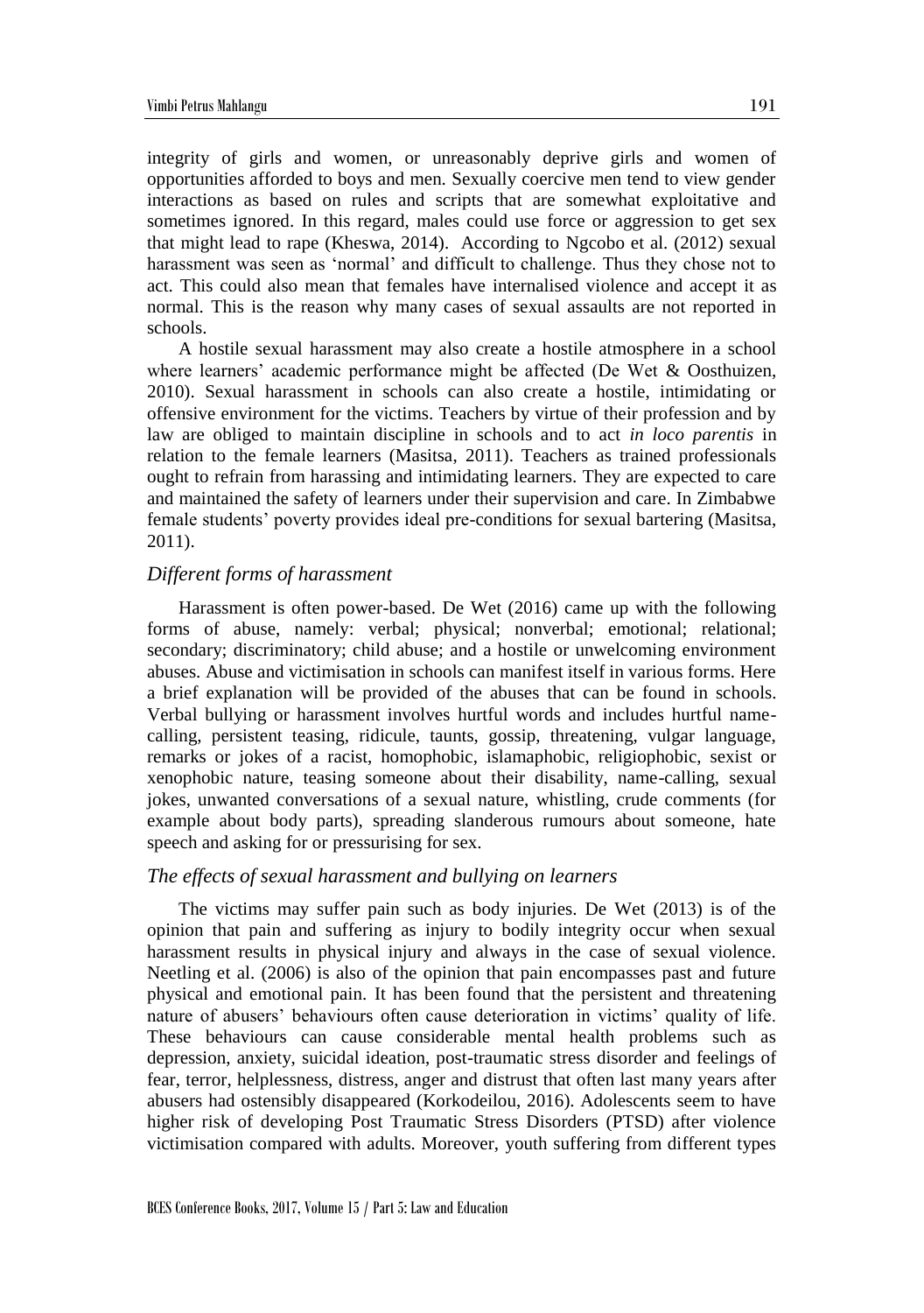integrity of girls and women, or unreasonably deprive girls and women of opportunities afforded to boys and men. Sexually coercive men tend to view gender interactions as based on rules and scripts that are somewhat exploitative and sometimes ignored. In this regard, males could use force or aggression to get sex that might lead to rape (Kheswa, 2014). According to Ngcobo et al. (2012) sexual harassment was seen as 'normal' and difficult to challenge. Thus they chose not to act. This could also mean that females have internalised violence and accept it as normal. This is the reason why many cases of sexual assaults are not reported in schools.

A hostile sexual harassment may also create a hostile atmosphere in a school where learners' academic performance might be affected (De Wet & Oosthuizen, 2010). Sexual harassment in schools can also create a hostile, intimidating or offensive environment for the victims. Teachers by virtue of their profession and by law are obliged to maintain discipline in schools and to act *in loco parentis* in relation to the female learners (Masitsa, 2011). Teachers as trained professionals ought to refrain from harassing and intimidating learners. They are expected to care and maintained the safety of learners under their supervision and care. In Zimbabwe female students' poverty provides ideal pre-conditions for sexual bartering (Masitsa, 2011).

#### *Different forms of harassment*

Harassment is often power-based. De Wet (2016) came up with the following forms of abuse, namely: verbal; physical; nonverbal; emotional; relational; secondary; discriminatory; child abuse; and a hostile or unwelcoming environment abuses. Abuse and victimisation in schools can manifest itself in various forms. Here a brief explanation will be provided of the abuses that can be found in schools. Verbal bullying or harassment involves hurtful words and includes hurtful namecalling, persistent teasing, ridicule, taunts, gossip, threatening, vulgar language, remarks or jokes of a racist, homophobic, islamaphobic, religiophobic, sexist or xenophobic nature, teasing someone about their disability, name-calling, sexual jokes, unwanted conversations of a sexual nature, whistling, crude comments (for example about body parts), spreading slanderous rumours about someone, hate speech and asking for or pressurising for sex.

## *The effects of sexual harassment and bullying on learners*

The victims may suffer pain such as body injuries. De Wet (2013) is of the opinion that pain and suffering as injury to bodily integrity occur when sexual harassment results in physical injury and always in the case of sexual violence. Neetling et al. (2006) is also of the opinion that pain encompasses past and future physical and emotional pain. It has been found that the persistent and threatening nature of abusers' behaviours often cause deterioration in victims' quality of life. These behaviours can cause considerable mental health problems such as depression, anxiety, suicidal ideation, post-traumatic stress disorder and feelings of fear, terror, helplessness, distress, anger and distrust that often last many years after abusers had ostensibly disappeared (Korkodeilou, 2016). Adolescents seem to have higher risk of developing Post Traumatic Stress Disorders (PTSD) after violence victimisation compared with adults. Moreover, youth suffering from different types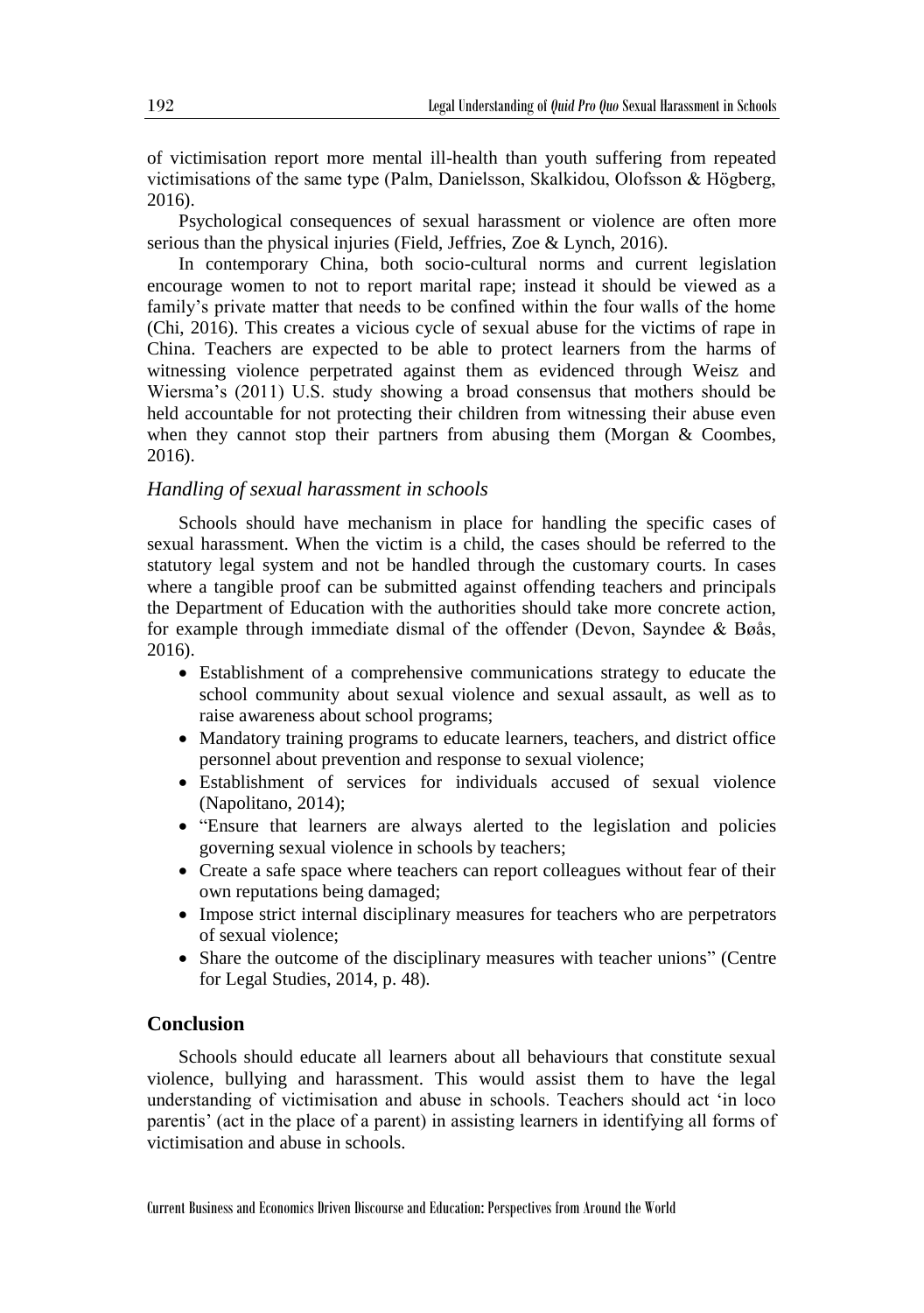of victimisation report more mental ill-health than youth suffering from repeated victimisations of the same type (Palm, Danielsson, Skalkidou, Olofsson & Högberg, 2016).

Psychological consequences of sexual harassment or violence are often more serious than the physical injuries (Field, Jeffries, Zoe & Lynch, 2016).

In contemporary China, both socio-cultural norms and current legislation encourage women to not to report marital rape; instead it should be viewed as a family's private matter that needs to be confined within the four walls of the home (Chi, 2016). This creates a vicious cycle of sexual abuse for the victims of rape in China. Teachers are expected to be able to protect learners from the harms of witnessing violence perpetrated against them as evidenced through Weisz and Wiersma's (2011) U.S. study showing a broad consensus that mothers should be held accountable for not protecting their children from witnessing their abuse even when they cannot stop their partners from abusing them (Morgan & Coombes, 2016).

#### *Handling of sexual harassment in schools*

Schools should have mechanism in place for handling the specific cases of sexual harassment. When the victim is a child, the cases should be referred to the statutory legal system and not be handled through the customary courts. In cases where a tangible proof can be submitted against offending teachers and principals the Department of Education with the authorities should take more concrete action, for example through immediate dismal of the offender (Devon, Sayndee & Bøås, 2016).

- Establishment of a comprehensive communications strategy to educate the school community about sexual violence and sexual assault, as well as to raise awareness about school programs;
- Mandatory training programs to educate learners, teachers, and district office personnel about prevention and response to sexual violence;
- Establishment of services for individuals accused of sexual violence (Napolitano, 2014);
- "Ensure that learners are always alerted to the legislation and policies governing sexual violence in schools by teachers;
- Create a safe space where teachers can report colleagues without fear of their own reputations being damaged;
- Impose strict internal disciplinary measures for teachers who are perpetrators of sexual violence;
- Share the outcome of the disciplinary measures with teacher unions" (Centre for Legal Studies, 2014, p. 48).

# **Conclusion**

Schools should educate all learners about all behaviours that constitute sexual violence, bullying and harassment. This would assist them to have the legal understanding of victimisation and abuse in schools. Teachers should act 'in loco parentis' (act in the place of a parent) in assisting learners in identifying all forms of victimisation and abuse in schools.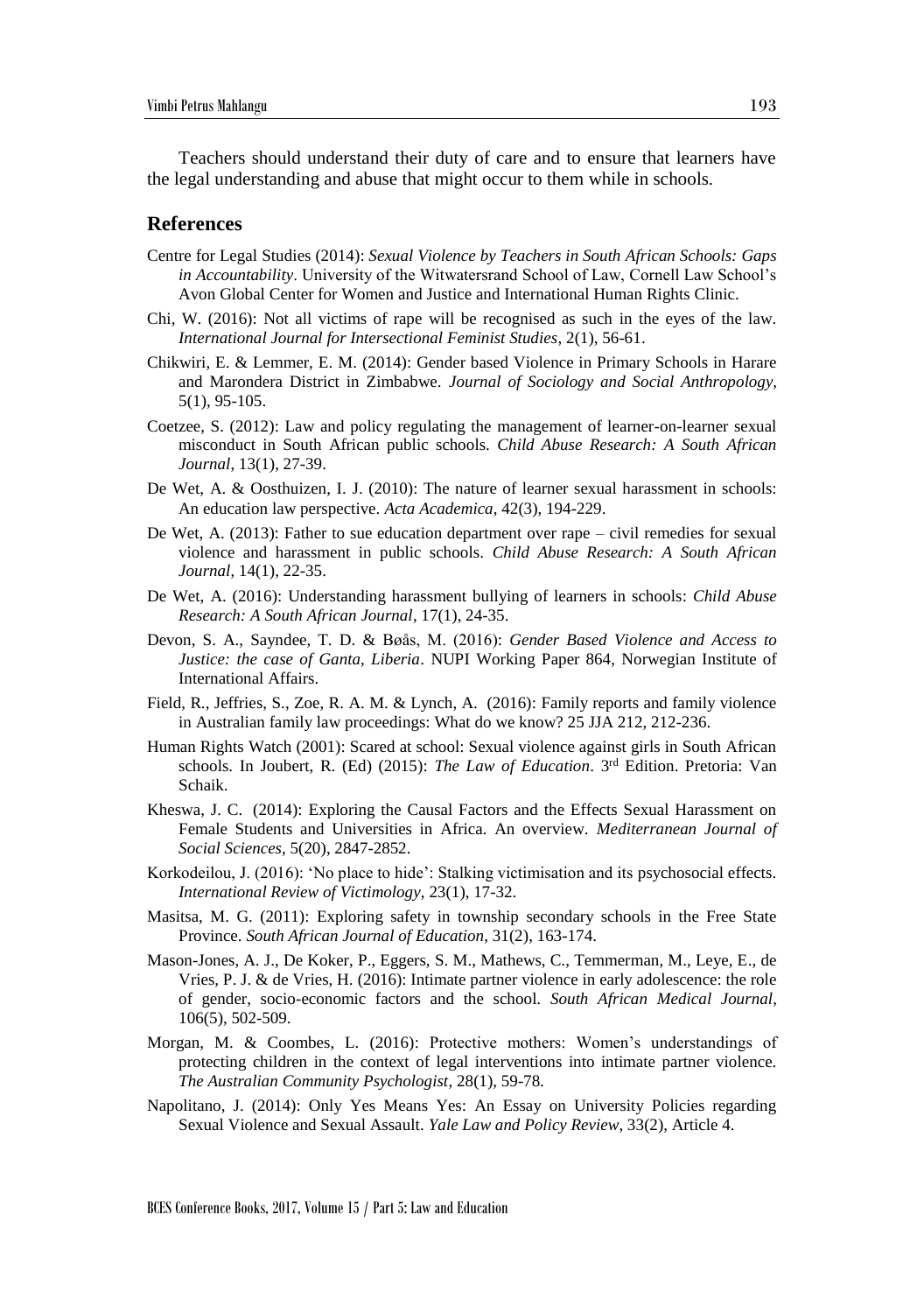Teachers should understand their duty of care and to ensure that learners have the legal understanding and abuse that might occur to them while in schools.

#### **References**

- Centre for Legal Studies (2014): *Sexual Violence by Teachers in South African Schools: Gaps in Accountability*. University of the Witwatersrand School of Law, Cornell Law School's Avon Global Center for Women and Justice and International Human Rights Clinic.
- Chi, W. (2016): Not all victims of rape will be recognised as such in the eyes of the law. *International Journal for Intersectional Feminist Studies*, 2(1), 56-61.
- Chikwiri, E. & Lemmer, E. M. (2014): Gender based Violence in Primary Schools in Harare and Marondera District in Zimbabwe. *Journal of Sociology and Social Anthropology*, 5(1), 95-105.
- Coetzee, S. (2012): Law and policy regulating the management of learner-on-learner sexual misconduct in South African public schools. *Child Abuse Research: A South African Journal*, 13(1), 27-39.
- De Wet, A. & Oosthuizen, I. J. (2010): The nature of learner sexual harassment in schools: An education law perspective. *Acta Academica*, 42(3), 194-229.
- De Wet, A. (2013): Father to sue education department over rape civil remedies for sexual violence and harassment in public schools. *Child Abuse Research: A South African Journal*, 14(1), 22-35.
- De Wet, A. (2016): Understanding harassment bullying of learners in schools: *Child Abuse Research: A South African Journal*, 17(1), 24-35.
- Devon, S. A., Sayndee, T. D. & Bøås, M. (2016): *Gender Based Violence and Access to Justice: the case of Ganta, Liberia*. NUPI Working Paper 864, Norwegian Institute of International Affairs.
- Field, R., Jeffries, S., Zoe, R. A. M. & Lynch, A. (2016): Family reports and family violence in Australian family law proceedings: What do we know? 25 JJA 212, 212-236.
- Human Rights Watch (2001): Scared at school: Sexual violence against girls in South African schools. In Joubert, R. (Ed) (2015): *The Law of Education*. 3rd Edition. Pretoria: Van Schaik.
- Kheswa, J. C. (2014): Exploring the Causal Factors and the Effects Sexual Harassment on Female Students and Universities in Africa. An overview. *Mediterranean Journal of Social Sciences*, 5(20), 2847-2852.
- Korkodeilou, J. (2016): 'No place to hide': Stalking victimisation and its psychosocial effects. *International Review of Victimology*, 23(1), 17-32.
- Masitsa, M. G. (2011): Exploring safety in township secondary schools in the Free State Province. *South African Journal of Education*, 31(2), 163-174.
- Mason-Jones, A. J., De Koker, P., Eggers, S. M., Mathews, C., Temmerman, M., Leye, E., de Vries, P. J. & de Vries, H. (2016): Intimate partner violence in early adolescence: the role of gender, socio-economic factors and the school. *South African Medical Journal*, 106(5), 502-509.
- Morgan, M. & Coombes, L. (2016): Protective mothers: Women's understandings of protecting children in the context of legal interventions into intimate partner violence. *The Australian Community Psychologist*, 28(1), 59-78.
- Napolitano, J. (2014): Only Yes Means Yes: An Essay on University Policies regarding Sexual Violence and Sexual Assault. *Yale Law and Policy Review*, 33(2), Article 4.